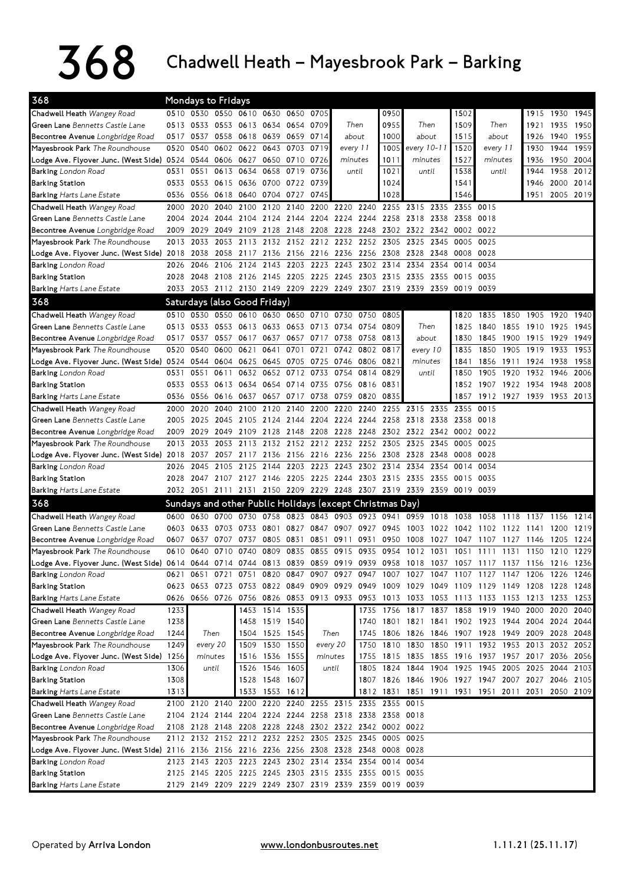## $368$  Chadwell Heath – Mayesbrook Park – Barking

| 368                                                                                                                            | <b>Mondays to Fridays</b><br>0510 0530 0550 0610 0630 0650 0705 |                     |          |                                                          |                |                                  |                |                          |           |                |                                                                                                   |      |           |                                                                                           |           |                     |                |      |
|--------------------------------------------------------------------------------------------------------------------------------|-----------------------------------------------------------------|---------------------|----------|----------------------------------------------------------|----------------|----------------------------------|----------------|--------------------------|-----------|----------------|---------------------------------------------------------------------------------------------------|------|-----------|-------------------------------------------------------------------------------------------|-----------|---------------------|----------------|------|
| Chadwell Heath Wangey Road                                                                                                     |                                                                 |                     |          |                                                          |                |                                  |                |                          |           | 0950           |                                                                                                   |      | 1502      |                                                                                           |           |                     | 1915 1930 1945 |      |
| <b>Green Lane</b> Bennetts Castle Lane                                                                                         |                                                                 |                     |          | 0513 0533 0553 0613 0634 0654                            |                |                                  | 0709           | Then                     |           | 0955           | Then                                                                                              |      | 1509      | Then                                                                                      |           | 1921                | 1935 1950      |      |
| Becontree Avenue Longbridge Road                                                                                               |                                                                 |                     |          | 0517 0537 0558 0618 0639 0659 0714                       |                |                                  |                | about                    |           | 1000           | about                                                                                             |      | 1515      | about                                                                                     |           | 1926                | 1940           | 1955 |
| Mayesbrook Park The Roundhouse                                                                                                 | 0520                                                            | 0540                |          | 0602 0622 0643 0703                                      |                |                                  | 0719           | every 11                 |           | 1005           | every 10-11                                                                                       |      | 1520      | every 11                                                                                  |           | 1930                | 1944           | 1959 |
| Lodge Ave. Flyover Junc. (West Side) 0524 0544 0606 0627                                                                       |                                                                 |                     |          |                                                          |                | 0650 0710                        | 0726           | minutes                  |           | 1011           | minutes                                                                                           |      | 1527      | minutes                                                                                   |           | 1936                | 1950           | 2004 |
| <b>Barking</b> London Road                                                                                                     | 0531                                                            | 0551                | 0613     | 0634                                                     | 0658           | 0719                             | 0736           | until                    |           | 1021           | until                                                                                             |      | 1538      | until                                                                                     |           | 1944                | 1958           | 2012 |
| <b>Barking Station</b>                                                                                                         | 0533                                                            |                     |          | 0553 0615 0636 0700 0722 0739                            |                |                                  |                |                          |           | 1024           |                                                                                                   |      | 1541      |                                                                                           |           | 1946                | 2000 2014      |      |
| <b>Barking Harts Lane Estate</b>                                                                                               | 0536                                                            |                     |          | 0556 0618 0640 0704 0727                                 |                |                                  | 0745           |                          |           | 1028           |                                                                                                   |      | 1546      |                                                                                           |           | 1951                | 2005 2019      |      |
| Chadwell Heath Wangey Road                                                                                                     | 2000                                                            | 2020                | 2040     | 2100                                                     |                | 2120 2140                        | 2200           |                          | 2220 2240 | 2255           | 2315 2335                                                                                         |      | 2355      | 0015                                                                                      |           |                     |                |      |
| Green Lane Bennetts Castle Lane                                                                                                | 2004                                                            | 2024                | 2044     | 2104                                                     |                |                                  | 2124 2144 2204 | 2224 2244                |           |                | 2258 2318 2338                                                                                    |      | 2358      | 0018                                                                                      |           |                     |                |      |
| Becontree Avenue Longbridge Road                                                                                               | 2009                                                            | 2029                | 2049     | 2109                                                     | 2128 2148      |                                  | 2208           | 2228 2248                |           |                | 2302 2322 2342 0002 0022                                                                          |      |           |                                                                                           |           |                     |                |      |
| Mayesbrook Park The Roundhouse                                                                                                 | 2013                                                            | 2033                | 2053     | 2113                                                     |                |                                  |                | 2132 2152 2212 2232 2252 |           | 2305           | 2325                                                                                              | 2345 | 0005      | 0025                                                                                      |           |                     |                |      |
| Lodge Ave. Flyover Junc. (West Side) 2018                                                                                      |                                                                 | 2038                | 2058     | 2117 2136 2156 2216 2236 2256                            |                |                                  |                |                          |           | 2308           | 2328                                                                                              | 2348 | 0008      | 0028                                                                                      |           |                     |                |      |
| <b>Barking</b> London Road                                                                                                     | 2026                                                            | 2046                | 2106     | 2124                                                     |                | 2143 2203 2223                   |                |                          |           | 2243 2302 2314 | 2334                                                                                              | 2354 | 0014 0034 |                                                                                           |           |                     |                |      |
| <b>Barking Station</b>                                                                                                         | 2028                                                            |                     |          |                                                          |                |                                  |                |                          |           |                | 2048 2108 2126 2145 2205 2225 2245 2303 2315 2335 2355                                            |      | 0015 0035 |                                                                                           |           |                     |                |      |
| <b>Barking Harts Lane Estate</b>                                                                                               |                                                                 |                     |          |                                                          |                |                                  |                |                          |           |                | 2033 2053 2112 2130 2149 2209 2229 2249 2307 2319 2339 2359 0019 0039                             |      |           |                                                                                           |           |                     |                |      |
| 368                                                                                                                            |                                                                 |                     |          | Saturdays (also Good Friday)                             |                |                                  |                |                          |           |                |                                                                                                   |      |           |                                                                                           |           |                     |                |      |
| Chadwell Heath Wangey Road                                                                                                     |                                                                 |                     |          | 0510 0530 0550 0610 0630 0650 0710 0730 0750 0805        |                |                                  |                |                          |           |                |                                                                                                   |      | 1820      | 1835                                                                                      |           | 1850 1905 1920 1940 |                |      |
| <b>Green Lane</b> Bennetts Castle Lane                                                                                         |                                                                 |                     |          | 0513 0533 0553 0613 0633 0653 0713 0734 0754             |                |                                  |                |                          |           | 0809           | Then<br>about<br>every 10<br>minutes                                                              |      | 1825      | 1840                                                                                      |           | 1855 1910 1925      |                | 1945 |
| Becontree Avenue Longbridge Road                                                                                               |                                                                 | 0517 0537           | 0557     | 0617                                                     |                |                                  | 0637 0657 0717 |                          | 0738 0758 | 0813           |                                                                                                   |      | 1830      | 1845                                                                                      | 1900      | 1915                | 1929           | 1949 |
| Mayesbrook Park The Roundhouse                                                                                                 | 0520                                                            | 0540                | 0600     | 0621                                                     | 0641           | 0701                             | 0721           |                          | 0742 0802 | 0817           |                                                                                                   |      | 1835      | 1850                                                                                      | 1905      | 1919                | 1933           | 1953 |
| Lodge Ave. Flyover Junc. (West Side) 0524 0544 0604                                                                            |                                                                 |                     |          |                                                          |                | 0625 0645 0705                   | 0725           | 0746 0806                |           | 0821           |                                                                                                   |      | 1841      | 1856                                                                                      | 1911 1924 |                     | 1938           | 1958 |
| <b>Barking</b> London Road                                                                                                     | 0531                                                            | 0551                | 0611     | 0632                                                     | 0652           | 0712                             | 0733           | 0754                     | 0814      | 0829           | until                                                                                             |      | 1850      | 1905                                                                                      | 1920      | 1932                | 1946           | 2006 |
| <b>Barking Station</b>                                                                                                         |                                                                 |                     |          | 0533 0553 0613 0634 0654 0714 0735                       |                |                                  |                | 0756 0816                |           | 0831           |                                                                                                   |      | 1852      | 1907 1922 1934                                                                            |           |                     | 1948 2008      |      |
| <b>Barking Harts Lane Estate</b>                                                                                               |                                                                 |                     |          | 0536 0556 0616 0637                                      |                | 0657 0717 0738                   |                | 0759 0820                |           | 0835           |                                                                                                   |      | 1857      | 1912 1927 1939 1953 2013                                                                  |           |                     |                |      |
| Chadwell Heath Wangey Road                                                                                                     | 2000                                                            | 2020                | 2040     | 2100                                                     | 2120           | 2140                             | 2200           | 2220                     | 2240      | 2255           | 2315                                                                                              | 2335 | 2355      | 0015                                                                                      |           |                     |                |      |
| Green Lane Bennetts Castle Lane                                                                                                | 2005                                                            | 2025                | 2045     | 2105                                                     |                |                                  | 2124 2144 2204 | 2224 2244                |           | 2258           | 2318 2338                                                                                         |      | 2358      | 0018                                                                                      |           |                     |                |      |
| Becontree Avenue Longbridge Road                                                                                               |                                                                 | 2009 2029           |          | 2049 2109 2128 2148                                      |                |                                  |                | 2208 2228 2248           |           |                | 2302 2322 2342 0002 0022                                                                          |      |           |                                                                                           |           |                     |                |      |
| Mayesbrook Park The Roundhouse                                                                                                 | 2013                                                            | 2033                |          | 2053 2113                                                |                |                                  |                | 2132 2152 2212 2232 2252 |           | 2305           | 2325                                                                                              | 2345 | 0005      | 0025                                                                                      |           |                     |                |      |
| Lodge Ave. Flyover Junc. (West Side) 2018                                                                                      |                                                                 | 2037                |          |                                                          |                |                                  |                |                          |           |                | 2057 2117 2136 2156 2216 2236 2256 2308 2328 2348                                                 |      | 0008      | 0028                                                                                      |           |                     |                |      |
| <b>Barking</b> London Road                                                                                                     | 2026                                                            | 2045                |          | 2105 2125 2144 2203 2223 2243 2302 2314 2334             |                |                                  |                |                          |           |                |                                                                                                   | 2354 | 0014 0034 |                                                                                           |           |                     |                |      |
| <b>Barking Station</b>                                                                                                         | 2028                                                            |                     |          |                                                          |                |                                  |                |                          |           |                | 2047 2107 2127 2146 2205 2225 2244 2303 2315 2335 2355 0015 0035                                  |      |           |                                                                                           |           |                     |                |      |
| Barking Harts Lane Estate                                                                                                      |                                                                 |                     |          |                                                          |                |                                  |                |                          |           |                | 2032 2051 2111 2131 2150 2209 2229 2248 2307 2319 2339 2359 0019 0039                             |      |           |                                                                                           |           |                     |                |      |
| 368                                                                                                                            |                                                                 |                     |          | Sundays and other Public Holidays (except Christmas Day) |                |                                  |                |                          |           |                |                                                                                                   |      |           |                                                                                           |           |                     |                |      |
| Chadwell Heath Wangey Road                                                                                                     |                                                                 |                     |          |                                                          |                |                                  |                |                          |           |                | 0600 0630 0700 0730 0758 0823 0843 0903 0923 0941 0959 1018                                       |      | 1038      | 1058                                                                                      | 1118      | 1137                | 1156           | 1214 |
| Green Lane Bennetts Castle Lane                                                                                                |                                                                 | 0603 0633 0703 0733 |          |                                                          |                |                                  |                |                          |           |                |                                                                                                   |      |           | 0801 0827 0847 0907 0927 0945 1003 1022 1042 1102 1122 1141 1200                          |           |                     |                | 1219 |
| Becontree Avenue Longbridge Road                                                                                               | 0607                                                            | 0637                | 0707     | 0737                                                     | 0805           | 0831                             | 0851           | 0911                     | 0931      | 0950           | 1008                                                                                              | 1027 | 1047      | 1107                                                                                      | 1127      | 1146                | 1205           | 1224 |
| Mayesbrook Park The Roundhouse                                                                                                 |                                                                 |                     |          |                                                          |                |                                  |                |                          |           |                |                                                                                                   |      |           | 0610 0640 0710 0740 0809 0835 0855 0915 0935 0954 1012 1031 1051 1111 1131 1150 1210 1229 |           |                     |                |      |
| Lodge Ave. Flyover Junc. (West Side) 0614 0644 0714 0744 0813 0839 0859 0919 0939 0958 1018 1037 1057 1117 1137 1156 1216 1236 |                                                                 |                     |          |                                                          |                |                                  |                |                          |           |                |                                                                                                   |      |           |                                                                                           |           |                     |                |      |
| <b>Barking</b> London Road                                                                                                     |                                                                 |                     |          |                                                          |                |                                  |                |                          |           |                |                                                                                                   |      |           | 0621 0651 0721 0751 0820 0847 0907 0927 0947 1007 1027 1047 1107 1127 1147 1206 1226 1246 |           |                     |                |      |
| <b>Barking Station</b>                                                                                                         |                                                                 |                     |          |                                                          |                |                                  |                |                          |           |                |                                                                                                   |      |           | 0623 0653 0723 0753 0822 0849 0909 0929 0949 1009 1029 1049 1109 1129 1149 1208 1228 1248 |           |                     |                |      |
| <b>Barking Harts Lane Estate</b>                                                                                               |                                                                 |                     |          |                                                          |                |                                  |                |                          |           |                |                                                                                                   |      |           | 0626 0656 0726 0756 0826 0853 0913 0933 0953 1013 1033 1053 1113 1133 1153 1213 1233 1253 |           |                     |                |      |
| Chadwell Heath Wangey Road                                                                                                     | 1233                                                            |                     |          |                                                          | 1453 1514 1535 |                                  |                |                          | 1735      |                |                                                                                                   |      |           | 1756 1817 1837 1858 1919 1940                                                             |           | 2000 2020 2040      |                |      |
| Green Lane Bennetts Castle Lane                                                                                                | 1238                                                            |                     |          |                                                          |                | 1458 1519 1540                   |                |                          | 1740      |                |                                                                                                   |      |           | 1801 1821 1841 1902 1923 1944 2004 2024 2044                                              |           |                     |                |      |
| Becontree Avenue Longbridge Road                                                                                               | 1244                                                            |                     | Then     |                                                          |                | 1504 1525 1545                   |                | Then                     |           |                |                                                                                                   |      |           | 1745 1806 1826 1846 1907 1928 1949 2009 2028 2048                                         |           |                     |                |      |
| Mayesbrook Park The Roundhouse                                                                                                 | 1249                                                            |                     | every 20 |                                                          | 1509 1530 1550 |                                  |                | every 20                 | 1750      |                |                                                                                                   |      |           | 1810 1830 1850 1911 1932 1953 2013 2032 2052                                              |           |                     |                |      |
| Lodge Ave. Flyover Junc. (West Side) 1256                                                                                      |                                                                 | minutes<br>until    |          |                                                          |                | 1516 1536 1555<br>1526 1546 1605 |                | minutes<br>1755<br>until |           |                |                                                                                                   |      |           | 1815 1835 1855 1916 1937 1957 2017 2036 2056                                              |           |                     |                |      |
| Barking London Road                                                                                                            | 1306<br>1308                                                    |                     |          |                                                          | 1528 1548 1607 |                                  |                |                          | 1805      |                | 1824 1844 1904 1925 1945 2005 2025 2044 2103<br>1807 1826 1846 1906 1927 1947 2007 2027 2046 2105 |      |           |                                                                                           |           |                     |                |      |
| Barking Station<br><b>Barking Harts Lane Estate</b>                                                                            | 1313                                                            |                     |          |                                                          |                |                                  |                |                          |           |                |                                                                                                   |      |           | 1812 1831 1851 1911 1931 1951 2011 2031 2050 2109                                         |           |                     |                |      |
| Chadwell Heath Wangey Road                                                                                                     |                                                                 |                     |          | 2100 2120 2140 2200 2220 2240 2255 2315 2335 2355 0015   | 1533 1553 1612 |                                  |                |                          |           |                |                                                                                                   |      |           |                                                                                           |           |                     |                |      |
| Green Lane Bennetts Castle Lane                                                                                                |                                                                 |                     |          | 2104 2124 2144 2204 2224 2244 2258 2318 2338 2358 0018   |                |                                  |                |                          |           |                |                                                                                                   |      |           |                                                                                           |           |                     |                |      |
| Becontree Avenue Longbridge Road                                                                                               |                                                                 |                     |          | 2108 2128 2148 2208 2228 2248 2302 2322 2342 0002 0022   |                |                                  |                |                          |           |                |                                                                                                   |      |           |                                                                                           |           |                     |                |      |
| Mayesbrook Park The Roundhouse                                                                                                 |                                                                 |                     |          | 2112 2132 2152 2212 2232 2252 2305 2325 2345             |                |                                  |                |                          |           | 0005 0025      |                                                                                                   |      |           |                                                                                           |           |                     |                |      |
| Lodge Ave. Flyover Junc. (West Side) 2116 2136 2156 2216 2236 2256 2308 2328 2348 0008 0028                                    |                                                                 |                     |          |                                                          |                |                                  |                |                          |           |                |                                                                                                   |      |           |                                                                                           |           |                     |                |      |
| <b>Barking</b> London Road                                                                                                     |                                                                 |                     |          | 2123 2143 2203 2223 2243 2302 2314 2334 2354             |                |                                  |                |                          |           | 0014 0034      |                                                                                                   |      |           |                                                                                           |           |                     |                |      |
| <b>Barking Station</b>                                                                                                         |                                                                 |                     |          | 2125 2145 2205 2225 2245 2303 2315 2335 2355 0015 0035   |                |                                  |                |                          |           |                |                                                                                                   |      |           |                                                                                           |           |                     |                |      |
| <b>Barking Harts Lane Estate</b>                                                                                               |                                                                 |                     |          | 2129 2149 2209 2229 2249 2307 2319 2339 2359 0019 0039   |                |                                  |                |                          |           |                |                                                                                                   |      |           |                                                                                           |           |                     |                |      |
|                                                                                                                                |                                                                 |                     |          |                                                          |                |                                  |                |                          |           |                |                                                                                                   |      |           |                                                                                           |           |                     |                |      |